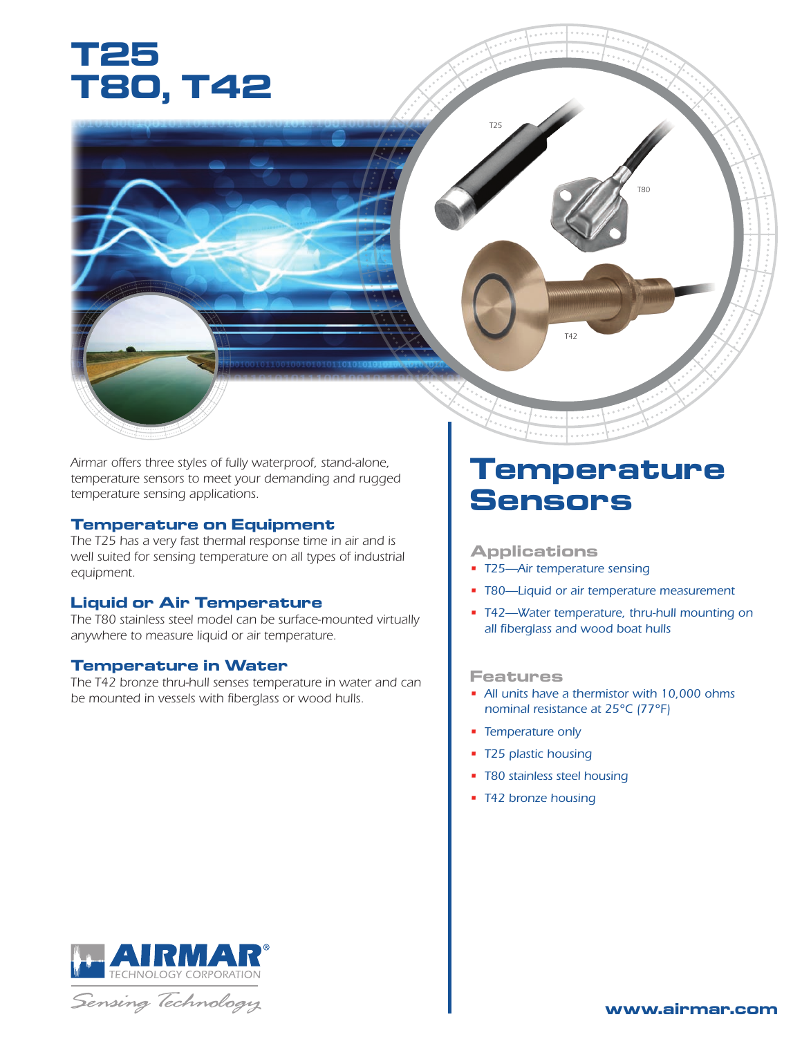



#### **Temperature on Equipment**

*The T25 has a very fast thermal response time in air and is well suited for sensing temperature on all types of industrial equipment.*

### **Liquid or Air Temperature**

*The T80 stainless steel model can be surface-mounted virtually anywhere to measure liquid or air temperature.*

#### **Temperature in Water**

*The T42 bronze thru-hull senses temperature in water and can be mounted in vessels with fiberglass or wood hulls.*

## **Temperature Sensors**

*T80*

#### **Applications**

• *T25—Air temperature sensing*

*T42*

*T25*

- *T80—Liquid or air temperature measurement*
- *T42—Water temperature, thru-hull mounting on all fiberglass and wood boat hulls*

#### **Features**

- *All units have a thermistor with 10,000 ohms nominal resistance at 25°C (77°F)*
- *Temperature only*
- *T25 plastic housing*
- *T80 stainless steel housing*
- *T42 bronze housing*



Sensing Technology